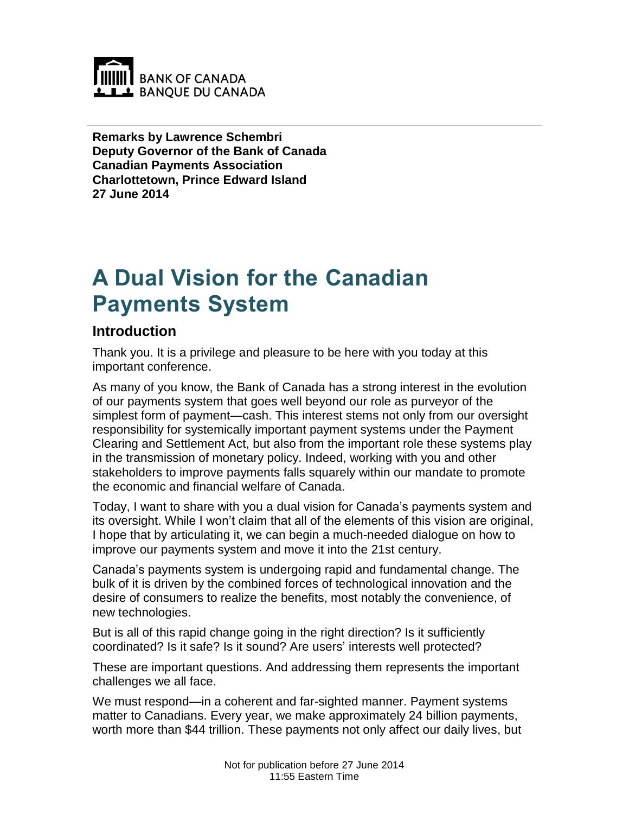

**Remarks by Lawrence Schembri Deputy Governor of the Bank of Canada Canadian Payments Association Charlottetown, Prince Edward Island 27 June 2014**

# **A Dual Vision for the Canadian Payments System**

#### **Introduction**

Thank you. It is a privilege and pleasure to be here with you today at this important conference.

As many of you know, the Bank of Canada has a strong interest in the evolution of our payments system that goes well beyond our role as purveyor of the simplest form of payment—cash. This interest stems not only from our oversight responsibility for systemically important payment systems under the Payment Clearing and Settlement Act, but also from the important role these systems play in the transmission of monetary policy. Indeed, working with you and other stakeholders to improve payments falls squarely within our mandate to promote the economic and financial welfare of Canada.

Today, I want to share with you a dual vision for Canada's payments system and its oversight. While I won't claim that all of the elements of this vision are original, I hope that by articulating it, we can begin a much-needed dialogue on how to improve our payments system and move it into the 21st century.

Canada's payments system is undergoing rapid and fundamental change. The bulk of it is driven by the combined forces of technological innovation and the desire of consumers to realize the benefits, most notably the convenience, of new technologies.

But is all of this rapid change going in the right direction? Is it sufficiently coordinated? Is it safe? Is it sound? Are users' interests well protected?

These are important questions. And addressing them represents the important challenges we all face.

We must respond—in a coherent and far-sighted manner. Payment systems matter to Canadians. Every year, we make approximately 24 billion payments, worth more than \$44 trillion. These payments not only affect our daily lives, but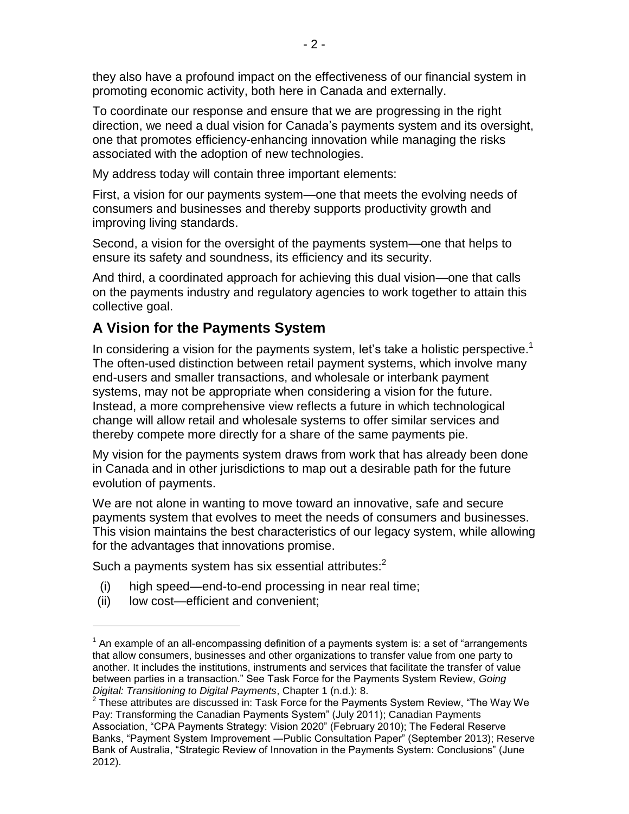they also have a profound impact on the effectiveness of our financial system in promoting economic activity, both here in Canada and externally.

To coordinate our response and ensure that we are progressing in the right direction, we need a dual vision for Canada's payments system and its oversight, one that promotes efficiency-enhancing innovation while managing the risks associated with the adoption of new technologies.

My address today will contain three important elements:

First, a vision for our payments system—one that meets the evolving needs of consumers and businesses and thereby supports productivity growth and improving living standards.

Second, a vision for the oversight of the payments system—one that helps to ensure its safety and soundness, its efficiency and its security.

And third, a coordinated approach for achieving this dual vision—one that calls on the payments industry and regulatory agencies to work together to attain this collective goal.

## **A Vision for the Payments System**

In considering a vision for the payments system, let's take a holistic perspective.<sup>1</sup> The often-used distinction between retail payment systems, which involve many end-users and smaller transactions, and wholesale or interbank payment systems, may not be appropriate when considering a vision for the future. Instead, a more comprehensive view reflects a future in which technological change will allow retail and wholesale systems to offer similar services and thereby compete more directly for a share of the same payments pie.

My vision for the payments system draws from work that has already been done in Canada and in other jurisdictions to map out a desirable path for the future evolution of payments.

We are not alone in wanting to move toward an innovative, safe and secure payments system that evolves to meet the needs of consumers and businesses. This vision maintains the best characteristics of our legacy system, while allowing for the advantages that innovations promise.

Such a payments system has six essential attributes: $^2$ 

- (i) high speed—end-to-end processing in near real time;
- (ii) low cost—efficient and convenient;

 $\overline{a}$ 

 $1$  An example of an all-encompassing definition of a payments system is: a set of "arrangements that allow consumers, businesses and other organizations to transfer value from one party to another. It includes the institutions, instruments and services that facilitate the transfer of value between parties in a transaction." See Task Force for the Payments System Review, *Going Digital: Transitioning to Digital Payments*, Chapter 1 (n.d.): 8.

 $2$  These attributes are discussed in: Task Force for the Payments System Review, "The Way We Pay: Transforming the Canadian Payments System" (July 2011); Canadian Payments Association, "CPA Payments Strategy: Vision 2020" (February 2010); The Federal Reserve Banks, "Payment System Improvement ―Public Consultation Paper" (September 2013); Reserve Bank of Australia, "Strategic Review of Innovation in the Payments System: Conclusions" (June 2012).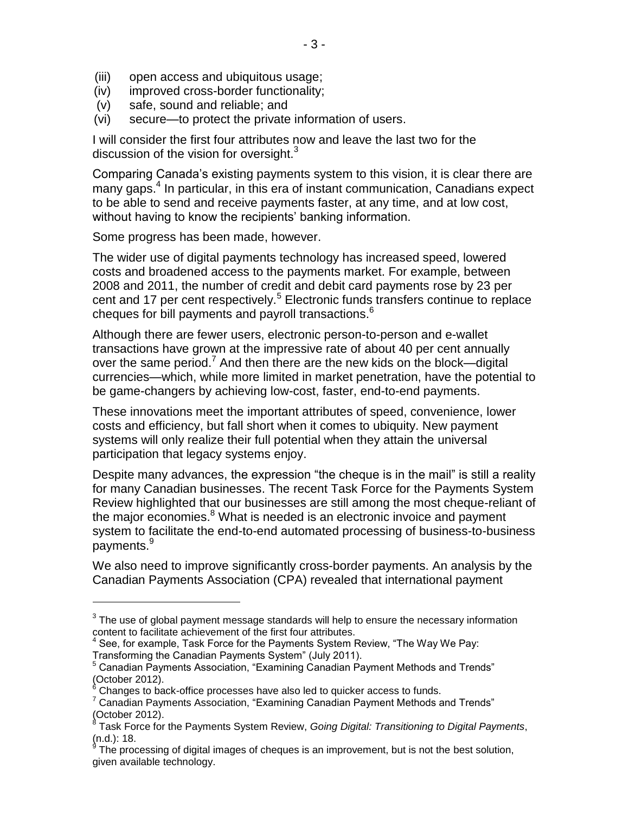- (iii) open access and ubiquitous usage;
- (iv) improved cross-border functionality;
- (v) safe, sound and reliable; and
- (vi) secure—to protect the private information of users.

I will consider the first four attributes now and leave the last two for the discussion of the vision for oversight.<sup>3</sup>

Comparing Canada's existing payments system to this vision, it is clear there are many gaps. 4 In particular, in this era of instant communication, Canadians expect to be able to send and receive payments faster, at any time, and at low cost, without having to know the recipients' banking information.

Some progress has been made, however.

 $\overline{a}$ 

The wider use of digital payments technology has increased speed, lowered costs and broadened access to the payments market. For example, between 2008 and 2011, the number of credit and debit card payments rose by 23 per cent and 17 per cent respectively.<sup>5</sup> Electronic funds transfers continue to replace cheques for bill payments and payroll transactions. 6

Although there are fewer users, electronic person-to-person and e-wallet transactions have grown at the impressive rate of about 40 per cent annually over the same period.<sup>7</sup> And then there are the new kids on the block—digital currencies—which, while more limited in market penetration, have the potential to be game-changers by achieving low-cost, faster, end-to-end payments.

These innovations meet the important attributes of speed, convenience, lower costs and efficiency, but fall short when it comes to ubiquity. New payment systems will only realize their full potential when they attain the universal participation that legacy systems enjoy.

Despite many advances, the expression "the cheque is in the mail" is still a reality for many Canadian businesses. The recent Task Force for the Payments System Review highlighted that our businesses are still among the most cheque-reliant of the major economies.<sup>8</sup> What is needed is an electronic invoice and payment system to facilitate the end-to-end automated processing of business-to-business payments.<sup>9</sup>

We also need to improve significantly cross-border payments. An analysis by the Canadian Payments Association (CPA) revealed that international payment

 $3$  The use of global payment message standards will help to ensure the necessary information content to facilitate achievement of the first four attributes.

 $<sup>4</sup>$  See, for example, Task Force for the Payments System Review, "The Way We Pay:</sup> Transforming the Canadian Payments System" (July 2011).

<sup>&</sup>lt;sup>5</sup> Canadian Payments Association, "Examining Canadian Payment Methods and Trends" (October 2012).

Changes to back-office processes have also led to quicker access to funds.

 $7$  Canadian Payments Association, "Examining Canadian Payment Methods and Trends" (October 2012). 8

Task Force for the Payments System Review, *Going Digital: Transitioning to Digital Payments*, (n.d.): 18.<br><sup>9</sup> The pro

The processing of digital images of cheques is an improvement, but is not the best solution, given available technology.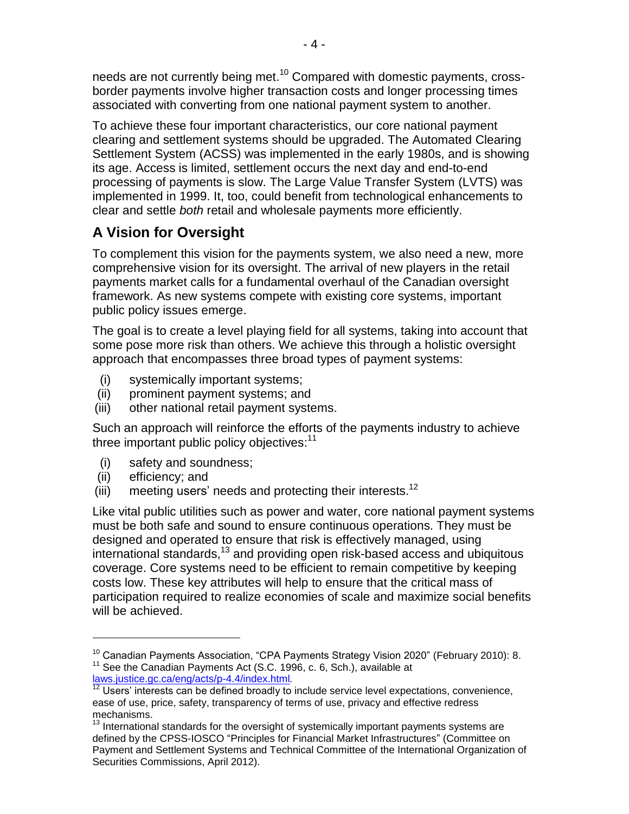needs are not currently being met.<sup>10</sup> Compared with domestic payments, crossborder payments involve higher transaction costs and longer processing times associated with converting from one national payment system to another.

To achieve these four important characteristics, our core national payment clearing and settlement systems should be upgraded. The Automated Clearing Settlement System (ACSS) was implemented in the early 1980s, and is showing its age. Access is limited, settlement occurs the next day and end-to-end processing of payments is slow. The Large Value Transfer System (LVTS) was implemented in 1999. It, too, could benefit from technological enhancements to clear and settle *both* retail and wholesale payments more efficiently.

# **A Vision for Oversight**

To complement this vision for the payments system, we also need a new, more comprehensive vision for its oversight. The arrival of new players in the retail payments market calls for a fundamental overhaul of the Canadian oversight framework. As new systems compete with existing core systems, important public policy issues emerge.

The goal is to create a level playing field for all systems, taking into account that some pose more risk than others. We achieve this through a holistic oversight approach that encompasses three broad types of payment systems:

- (i) systemically important systems;
- (ii) prominent payment systems; and
- (iii) other national retail payment systems.

Such an approach will reinforce the efforts of the payments industry to achieve three important public policy objectives:<sup>11</sup>

- (i) safety and soundness;
- (ii) efficiency; and

 $\overline{a}$ 

(iii) meeting users' needs and protecting their interests.<sup>12</sup>

Like vital public utilities such as power and water, core national payment systems must be both safe and sound to ensure continuous operations. They must be designed and operated to ensure that risk is effectively managed, using international standards,<sup>13</sup> and providing open risk-based access and ubiquitous coverage. Core systems need to be efficient to remain competitive by keeping costs low. These key attributes will help to ensure that the critical mass of participation required to realize economies of scale and maximize social benefits will be achieved.

<sup>&</sup>lt;sup>10</sup> Canadian Payments Association, "CPA Payments Strategy Vision 2020" (February 2010): 8. <sup>11</sup> See the Canadian Payments Act (S.C. 1996, c. 6, Sch.), available at

[laws.justice.gc.ca/eng/acts/p-4.4/index.html](http://laws.justice.gc.ca/eng/acts/p-4.4/index.html)*.*

Users' interests can be defined broadly to include service level expectations, convenience, ease of use, price, safety, transparency of terms of use, privacy and effective redress mechanisms.

 $13$  International standards for the oversight of systemically important payments systems are defined by the CPSS-IOSCO "Principles for Financial Market Infrastructures" (Committee on Payment and Settlement Systems and Technical Committee of the International Organization of Securities Commissions, April 2012).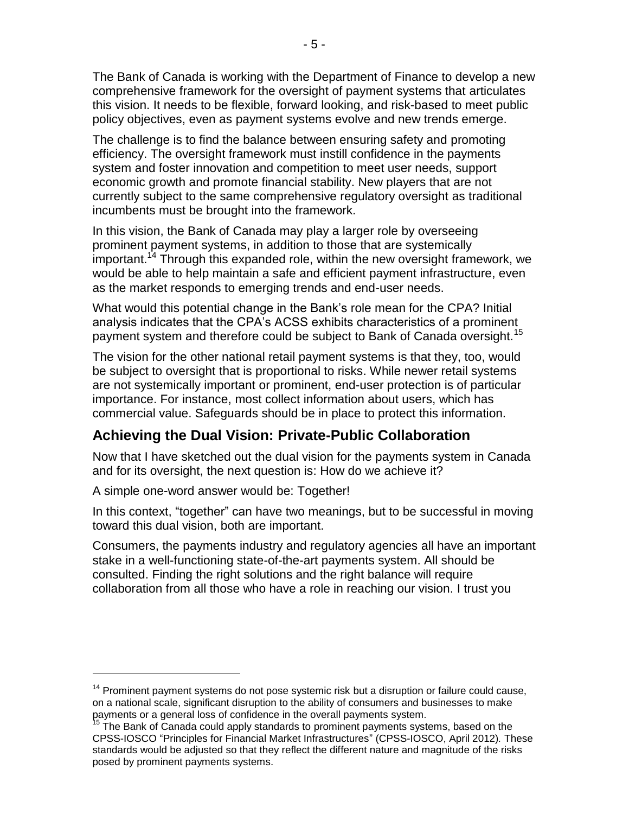The Bank of Canada is working with the Department of Finance to develop a new comprehensive framework for the oversight of payment systems that articulates this vision. It needs to be flexible, forward looking, and risk-based to meet public policy objectives, even as payment systems evolve and new trends emerge.

The challenge is to find the balance between ensuring safety and promoting efficiency. The oversight framework must instill confidence in the payments system and foster innovation and competition to meet user needs, support economic growth and promote financial stability. New players that are not currently subject to the same comprehensive regulatory oversight as traditional incumbents must be brought into the framework.

In this vision, the Bank of Canada may play a larger role by overseeing prominent payment systems, in addition to those that are systemically important.<sup>14</sup> Through this expanded role, within the new oversight framework, we would be able to help maintain a safe and efficient payment infrastructure, even as the market responds to emerging trends and end-user needs.

What would this potential change in the Bank's role mean for the CPA? Initial analysis indicates that the CPA's ACSS exhibits characteristics of a prominent payment system and therefore could be subject to Bank of Canada oversight.<sup>15</sup>

The vision for the other national retail payment systems is that they, too, would be subject to oversight that is proportional to risks. While newer retail systems are not systemically important or prominent, end-user protection is of particular importance. For instance, most collect information about users, which has commercial value. Safeguards should be in place to protect this information.

### **Achieving the Dual Vision: Private-Public Collaboration**

Now that I have sketched out the dual vision for the payments system in Canada and for its oversight, the next question is: How do we achieve it?

A simple one-word answer would be: Together!

 $\overline{a}$ 

In this context, "together" can have two meanings, but to be successful in moving toward this dual vision, both are important.

Consumers, the payments industry and regulatory agencies all have an important stake in a well-functioning state-of-the-art payments system. All should be consulted. Finding the right solutions and the right balance will require collaboration from all those who have a role in reaching our vision. I trust you

 $14$  Prominent payment systems do not pose systemic risk but a disruption or failure could cause, on a national scale, significant disruption to the ability of consumers and businesses to make payments or a general loss of confidence in the overall payments system.

<sup>15</sup> The Bank of Canada could apply standards to prominent payments systems, based on the CPSS-IOSCO "Principles for Financial Market Infrastructures" (CPSS-IOSCO, April 2012)*.* These standards would be adjusted so that they reflect the different nature and magnitude of the risks posed by prominent payments systems.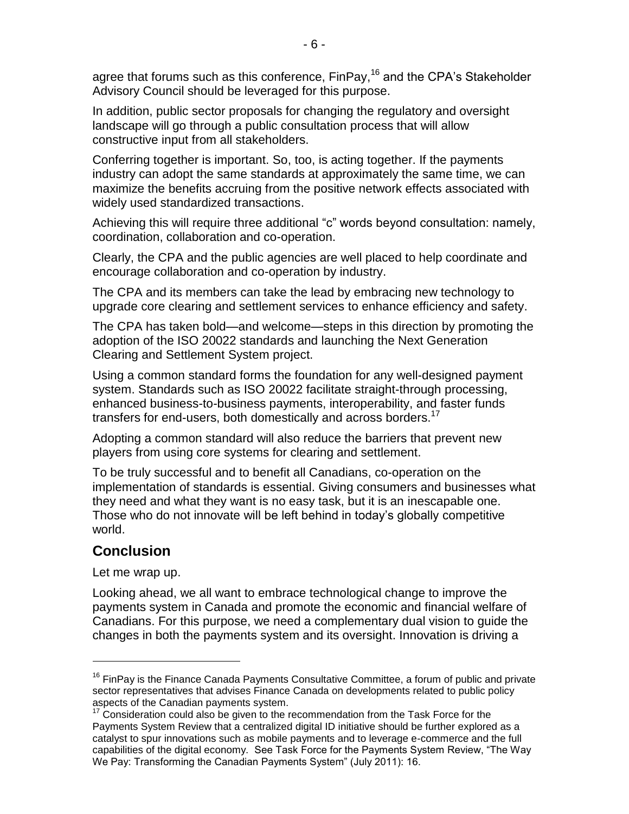agree that forums such as this conference, FinPay,<sup>16</sup> and the CPA's Stakeholder Advisory Council should be leveraged for this purpose.

In addition, public sector proposals for changing the regulatory and oversight landscape will go through a public consultation process that will allow constructive input from all stakeholders.

Conferring together is important. So, too, is acting together. If the payments industry can adopt the same standards at approximately the same time, we can maximize the benefits accruing from the positive network effects associated with widely used standardized transactions.

Achieving this will require three additional "c" words beyond consultation: namely, coordination, collaboration and co-operation.

Clearly, the CPA and the public agencies are well placed to help coordinate and encourage collaboration and co-operation by industry.

The CPA and its members can take the lead by embracing new technology to upgrade core clearing and settlement services to enhance efficiency and safety.

The CPA has taken bold—and welcome—steps in this direction by promoting the adoption of the ISO 20022 standards and launching the Next Generation Clearing and Settlement System project.

Using a common standard forms the foundation for any well-designed payment system. Standards such as ISO 20022 facilitate straight-through processing, enhanced business-to-business payments, interoperability, and faster funds transfers for end-users, both domestically and across borders.<sup>17</sup>

Adopting a common standard will also reduce the barriers that prevent new players from using core systems for clearing and settlement.

To be truly successful and to benefit all Canadians, co-operation on the implementation of standards is essential. Giving consumers and businesses what they need and what they want is no easy task, but it is an inescapable one. Those who do not innovate will be left behind in today's globally competitive world.

### **Conclusion**

Let me wrap up.

 $\overline{a}$ 

Looking ahead, we all want to embrace technological change to improve the payments system in Canada and promote the economic and financial welfare of Canadians. For this purpose, we need a complementary dual vision to guide the changes in both the payments system and its oversight. Innovation is driving a

<sup>&</sup>lt;sup>16</sup> FinPay is the Finance Canada Payments Consultative Committee, a forum of public and private sector representatives that advises Finance Canada on developments related to public policy aspects of the Canadian payments system.

 $17$  Consideration could also be given to the recommendation from the Task Force for the Payments System Review that a centralized digital ID initiative should be further explored as a catalyst to spur innovations such as mobile payments and to leverage e-commerce and the full capabilities of the digital economy. See Task Force for the Payments System Review, "The Way We Pay: Transforming the Canadian Payments System" (July 2011): 16.